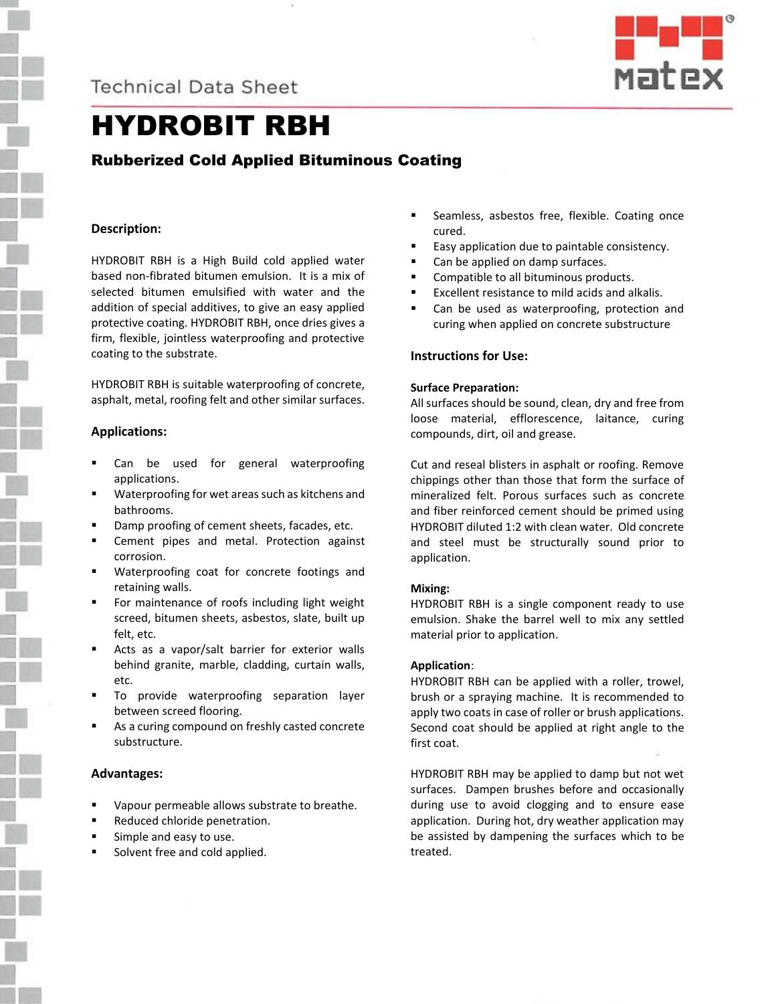**Technical Data Sheet** 



# HYDROBIT RBH

# Rubberized Cold Applied Bituminous Coating

# **Description:**

HYDROBIT RBH is a High Build cold applied water based non-fibrated bitumen emulsion. It is a mix of selected bitumen emulsified with water and the addition of special additives, to give an easy applied protective coating. HYDROBIT RBH, once dries gives a firm, flexible, jointless waterproofing and protective coating to the substrate.

HYDROBIT RBH is suitable waterproofing of concrete, asphalt, metal, roofing felt and other similar surfaces.

#### **Applications:**

- Can be used for general waterproofing applications.
- Waterproofing for wet areas such as kitchens and bathrooms.
- Damp proofing of cement sheets, facades, etc.
- Cement pipes and metal. Protection against corrosion.
- Waterproofing coat for concrete footings and retaining walls.
- For maintenance of roofs including light weight screed, bitumen sheets, asbestos, slate, built up felt, etc.
- Acts as a vapor/salt barrier for exterior walls behind granite, marble, cladding, curtain walls, etc.
- To provide waterproofing separation layer between screed flooring.
- As a curing compound on freshly casted concrete substructure.

#### **Advantages:**

- Vapour permeable allows substrate to breathe.
- Reduced chloride penetration.
- Simple and easy to use.
- Solvent free and cold applied.
- **EXEC** Seamless, asbestos free, flexible. Coating once cured.
- Easy application due to paintable consistency.
- Can be applied on damp surfaces.
- Compatible to all bituminous products.
- Excellent resistance to mild acids and alkalis.
- Can be used as waterproofing, protection and curing when applied on concrete substructure

# **Instructions for Use:**

#### **Surface Preparation:**

All surfaces should be sound, clean, dry and free from loose material, efflorescence, laitance, curing compounds, dirt, oil and grease.

Cut and reseal blisters in asphalt or roofing. Remove chippings other than those that form the surface of mineralized felt. Porous surfaces such as concrete and fiber reinforced cement should be primed using HYDROBIT diluted 1:2 with clean water. Old concrete and steel must be structurally sound prior to application.

# **Mixing:**

HYDROBIT RBH is a single component ready to use emulsion. Shake the barrel well to mix any settled material prior to application.

#### **Application**:

HYDROBIT RBH can be applied with a roller, trowel, brush or a spraying machine. It is recommended to apply two coats in case of roller or brush applications. Second coat should be applied at right angle to the first coat.

HYDROBIT RBH may be applied to damp but not wet surfaces. Dampen brushes before and occasionally during use to avoid clogging and to ensure ease application. During hot, dry weather application may be assisted by dampening the surfaces which to be treated.